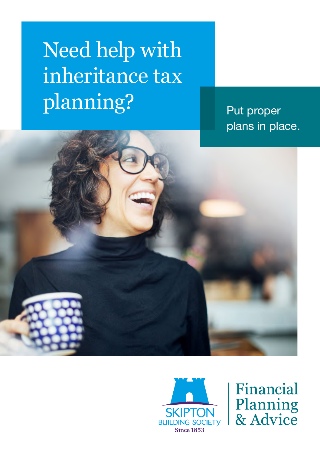# Need help with inheritance tax planning? Put proper

plans in place.





Financial Planning<br>& Advice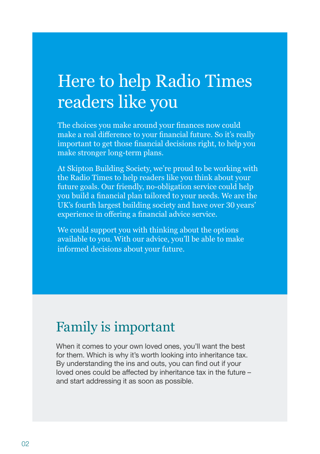## Here to help Radio Times readers like you

The choices you make around your finances now could make a real difference to your financial future. So it's really important to get those financial decisions right, to help you make stronger long-term plans.

At Skipton Building Society, we're proud to be working with the Radio Times to help readers like you think about your future goals. Our friendly, no-obligation service could help you build a financial plan tailored to your needs. We are the UK's fourth largest building society and have over 30 years' experience in offering a financial advice service.

We could support you with thinking about the options available to you. With our advice, you'll be able to make informed decisions about your future.

### Family is important

When it comes to your own loved ones, you'll want the best for them. Which is why it's worth looking into inheritance tax. By understanding the ins and outs, you can find out if your loved ones could be affected by inheritance tax in the future – and start addressing it as soon as possible.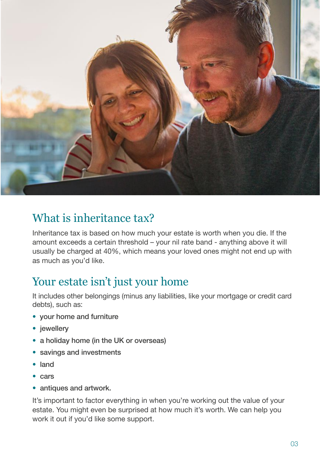

### What is inheritance tax?

Inheritance tax is based on how much your estate is worth when you die. If the amount exceeds a certain threshold – your nil rate band - anything above it will usually be charged at 40%, which means your loved ones might not end up with as much as you'd like.

### Your estate isn't just your home

It includes other belongings (minus any liabilities, like your mortgage or credit card debts), such as:

- your home and furniture
- jewellery
- a holiday home (in the UK or overseas)
- savings and investments
- land
- cars
- antiques and artwork.

It's important to factor everything in when you're working out the value of your estate. You might even be surprised at how much it's worth. We can help you work it out if you'd like some support.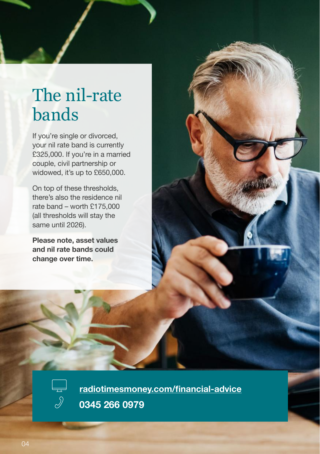## The nil-rate bands

If you're single or divorced, your nil rate band is currently £325,000. If you're in a married couple, civil partnership or widowed, it's up to £650,000.

On top of these thresholds, there's also the residence nil rate band – worth £175,000 (all thresholds will stay the same until 2026).

**Please note, asset values and nil rate bands could change over time.**

> **[radiotimesmoney.com/financial-advice](http://radiotimesmoney.com/financial-advice) 0345 266 0979**

 $\begin{array}{c}\n\boxed{11} \\
\text{or } \\
\text{or } \\
\text{or } \\
\text{or } \\
\text{or } \\
\text{or } \\
\text{or } \\
\text{or } \\
\text{or } \\
\text{or } \\
\text{or } \\
\text{or } \\
\text{or } \\
\text{or } \\
\text{or } \\
\text{or } \\
\text{or } \\
\text{or } \\
\text{or } \\
\text{or } \\
\text{or } \\
\text{or } \\
\text{or } \\
\text{or } \\
\text{or } \\
\text{or } \\
\text{or } \\
\text{or } \\
\text{or } \\
\text{or } \\
\text{or } \\
\text{or } \\
\text{or } \\
\text{or } \\
\$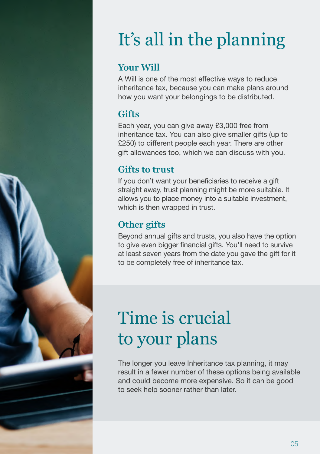

### **Your Will**

A Will is one of the most effective ways to reduce inheritance tax, because you can make plans around how you want your belongings to be distributed.

### **Gifts**

Each year, you can give away £3,000 free from inheritance tax. You can also give smaller gifts (up to £250) to different people each year. There are other gift allowances too, which we can discuss with you.

### **Gifts to trust**

If you don't want your beneficiaries to receive a gift straight away, trust planning might be more suitable. It allows you to place money into a suitable investment, which is then wrapped in trust.

### **Other gifts**

Beyond annual gifts and trusts, you also have the option to give even bigger financial gifts. You'll need to survive at least seven years from the date you gave the gift for it to be completely free of inheritance tax.

# Time is crucial to your plans

The longer you leave Inheritance tax planning, it may result in a fewer number of these options being available and could become more expensive. So it can be good to seek help sooner rather than later.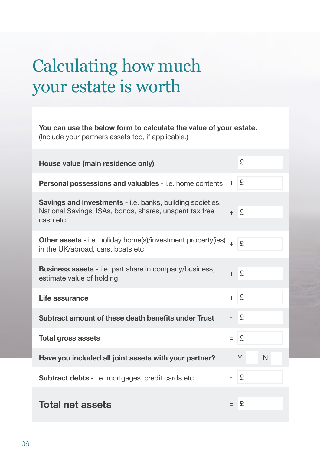# Calculating how much your estate is worth

**You can use the below form to calculate the value of your estate.** (Include your partners assets too, if applicable.)

| House value (main residence only)                                                                                                       |     | £                 |
|-----------------------------------------------------------------------------------------------------------------------------------------|-----|-------------------|
| Personal possessions and valuables - i.e. home contents                                                                                 | $+$ | E                 |
| <b>Savings and investments</b> - i.e. banks, building societies,<br>National Savings, ISAs, bonds, shares, unspent tax free<br>cash etc |     | $+$ £             |
| <b>Other assets</b> - i.e. holiday home(s)/investment property(ies)<br>in the UK/abroad, cars, boats etc                                |     | $+$ 2             |
| <b>Business assets</b> - i.e. part share in company/business,<br>estimate value of holding                                              |     | $+$ $\Omega$      |
| Life assurance                                                                                                                          |     | $+$ $\mathbf{E}$  |
| Subtract amount of these death benefits under Trust                                                                                     |     | $-\mathbf{F}$     |
| <b>Total gross assets</b>                                                                                                               |     | $=$ $\mathcal{L}$ |
| Have you included all joint assets with your partner?                                                                                   |     | Y<br>N.           |
| <b>Subtract debts</b> - i.e. mortgages, credit cards etc                                                                                |     | £                 |
| <b>Total net assets</b>                                                                                                                 |     | $=$ £             |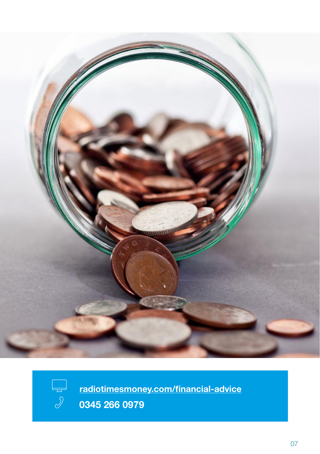



**[radiotimesmoney.com/financial-advice](http://radiotimesmoney.com/financial-advice) 0345 266 0979**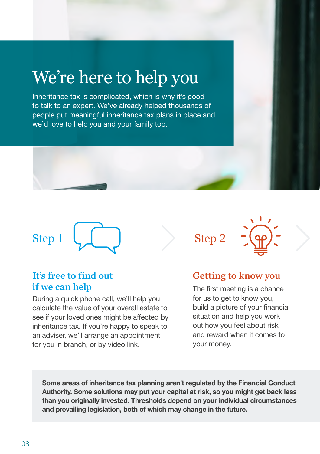## We're here to help you

Inheritance tax is complicated, which is why it's good to talk to an expert. We've already helped thousands of people put meaningful inheritance tax plans in place and we'd love to help you and your family too.



#### **It's free to find out if we can help**

During a quick phone call, we'll help you calculate the value of your overall estate to see if your loved ones might be affected by inheritance tax. If you're happy to speak to an adviser, we'll arrange an appointment for you in branch, or by video link.



#### **Getting to know you**

The first meeting is a chance for us to get to know you, build a picture of your financial situation and help you work out how you feel about risk and reward when it comes to your money.

**Some areas of inheritance tax planning aren't regulated by the Financial Conduct Authority. Some solutions may put your capital at risk, so you might get back less than you originally invested. Thresholds depend on your individual circumstances and prevailing legislation, both of which may change in the future.**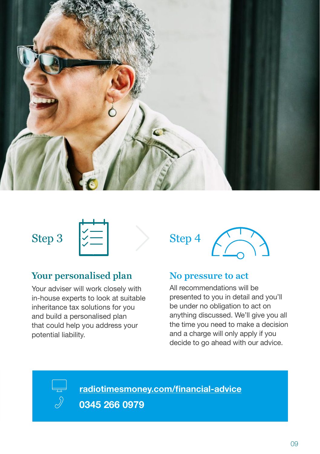



#### **Your personalised plan**

Your adviser will work closely with in-house experts to look at suitable inheritance tax solutions for you and build a personalised plan that could help you address your potential liability.



#### **No pressure to act**

All recommendations will be presented to you in detail and you'll be under no obligation to act on anything discussed. We'll give you all the time you need to make a decision and a charge will only apply if you decide to go ahead with our advice.



**[radiotimesmoney.com/financial-advice](http://radiotimesmoney.com/financial-advice) 0345 266 0979**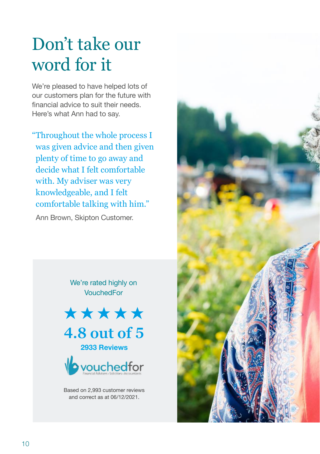# Don't take our word for it

We're pleased to have helped lots of our customers plan for the future with financial advice to suit their needs. Here's what Ann had to say.

"Throughout the whole process I was given advice and then given plenty of time to go away and decide what I felt comfortable with. My adviser was very knowledgeable, and I felt comfortable talking with him."

Ann Brown, Skipton Customer.



Based on 2,993 customer reviews and correct as at 06/12/2021.

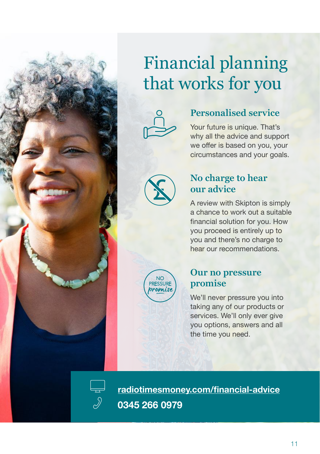

# Financial planning that works for you



#### **Personalised service**

Your future is unique. That's why all the advice and support we offer is based on you, your circumstances and your goals.



**RESSURE** romi

#### **No charge to hear our advice**

A review with Skipton is simply a chance to work out a suitable financial solution for you. How you proceed is entirely up to you and there's no charge to hear our recommendations.

#### **Our no pressure promise**

We'll never pressure you into taking any of our products or services. We'll only ever give you options, answers and all the time you need.

**[skipton.co.uk/advice](http://skipton.co.uk/advice ) 0345 266 0979 [radiotimesmoney.com/financial-advice](http://radiotimesmoney.com/financial-advice)**